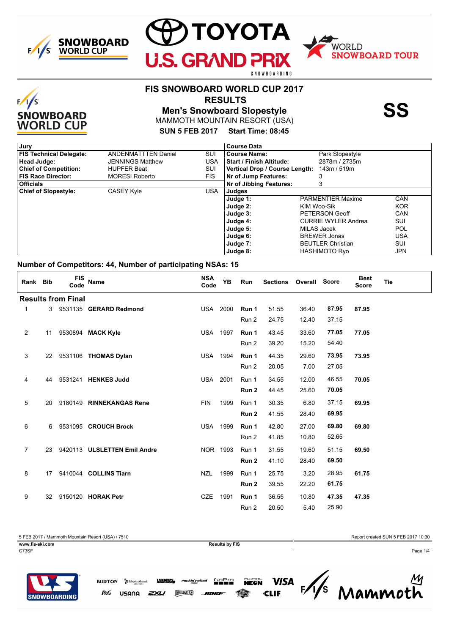

 $F/1/S$ 

**SNOWBOARD WORLD CUP** 



### **FIS SNOWBOARD WORLD CUP 2017**

 **RESULTS**

**Men's Snowboard Slopestyle SS**

MAMMOTH MOUNTAIN RESORT (USA)

**SUN 5 FEB 2017 Start Time: 08:45**

| Jury                           |                            |            | <b>Course Data</b>              |                            |            |
|--------------------------------|----------------------------|------------|---------------------------------|----------------------------|------------|
| <b>FIS Technical Delegate:</b> | <b>ANDENMATTTEN Daniel</b> | SUI        | <b>Course Name:</b>             | Park Slopestyle            |            |
| Head Judge:                    | <b>JENNINGS Matthew</b>    | <b>USA</b> | <b>Start / Finish Altitude:</b> | 2878m / 2735m              |            |
| <b>Chief of Competition:</b>   | <b>HUPFER Beat</b>         | SUI        | Vertical Drop / Course Length:  | 143m / 519m                |            |
| <b>FIS Race Director:</b>      | <b>MORESI Roberto</b>      | <b>FIS</b> | Nr of Jump Features:            |                            |            |
| <b>Officials</b>               |                            |            | Nr of Jibbing Features:         | 3                          |            |
| <b>Chief of Slopestyle:</b>    | <b>CASEY Kyle</b>          | <b>USA</b> | Judges                          |                            |            |
|                                |                            |            | Judge 1:                        | <b>PARMENTIER Maxime</b>   | CAN        |
|                                |                            |            | Judge 2:                        | KIM Woo-Sik                | <b>KOR</b> |
|                                |                            |            | Judge 3:                        | PETERSON Geoff             | CAN        |
|                                |                            |            | Judge 4:                        | <b>CURRIE WYLER Andrea</b> | SUI        |
|                                |                            |            | Judge 5:                        | MILAS Jacek                | POL        |
|                                |                            |            | Judge 6:                        | <b>BREWER Jonas</b>        | USA        |
|                                |                            |            | Judge 7:                        | <b>BEUTLER Christian</b>   | SUI        |
|                                |                            |            | Judge 8:                        | <b>HASHIMOTO Ryo</b>       | <b>JPN</b> |

#### **Number of Competitors: 44, Number of participating NSAs: 15**

**BURTON S** Liberty Mutual

USANA

P&G

| Rank Bib       |    | <b>FIS</b><br>Code        | <b>Name</b>                     | <b>NSA</b><br>Code | <b>YB</b> | Run   | Sections Overall Score |       |       | <b>Best</b><br><b>Score</b> | <b>Tie</b> |
|----------------|----|---------------------------|---------------------------------|--------------------|-----------|-------|------------------------|-------|-------|-----------------------------|------------|
|                |    | <b>Results from Final</b> |                                 |                    |           |       |                        |       |       |                             |            |
| $\mathbf{1}$   |    |                           | 3 9531135 GERARD Redmond        | USA 2000           |           | Run 1 | 51.55                  | 36.40 | 87.95 | 87.95                       |            |
|                |    |                           |                                 |                    |           | Run 2 | 24.75                  | 12.40 | 37.15 |                             |            |
| $\overline{2}$ | 11 |                           | 9530894 MACK Kyle               | <b>USA 1997</b>    |           | Run 1 | 43.45                  | 33.60 | 77.05 | 77.05                       |            |
|                |    |                           |                                 |                    |           | Run 2 | 39.20                  | 15.20 | 54.40 |                             |            |
| 3              |    |                           | 22 9531106 THOMAS Dylan         | <b>USA 1994</b>    |           | Run 1 | 44.35                  | 29.60 | 73.95 | 73.95                       |            |
|                |    |                           |                                 |                    |           | Run 2 | 20.05                  | 7.00  | 27.05 |                             |            |
| 4              | 44 |                           | 9531241 HENKES Judd             | <b>USA 2001</b>    |           | Run 1 | 34.55                  | 12.00 | 46.55 | 70.05                       |            |
|                |    |                           |                                 |                    |           | Run 2 | 44.45                  | 25.60 | 70.05 |                             |            |
| 5              | 20 |                           | 9180149 RINNEKANGAS Rene        | <b>FIN</b>         | 1999      | Run 1 | 30.35                  | 6.80  | 37.15 | 69.95                       |            |
|                |    |                           |                                 |                    |           | Run 2 | 41.55                  | 28.40 | 69.95 |                             |            |
| 6              |    |                           | 6 9531095 CROUCH Brock          | <b>USA 1999</b>    |           | Run 1 | 42.80                  | 27.00 | 69.80 | 69.80                       |            |
|                |    |                           |                                 |                    |           | Run 2 | 41.85                  | 10.80 | 52.65 |                             |            |
| $\overline{7}$ |    |                           | 23 9420113 ULSLETTEN Emil Andre | NOR 1993           |           | Run 1 | 31.55                  | 19.60 | 51.15 | 69.50                       |            |
|                |    |                           |                                 |                    |           | Run 2 | 41.10                  | 28.40 | 69.50 |                             |            |
| 8              | 17 |                           | 9410044 COLLINS Tiarn           | <b>NZL</b>         | 1999      | Run 1 | 25.75                  | 3.20  | 28.95 | 61.75                       |            |
|                |    |                           |                                 |                    |           | Run 2 | 39.55                  | 22.20 | 61.75 |                             |            |
| 9              | 32 |                           | 9150120 HORAK Petr              | <b>CZE</b>         | 1991      | Run 1 | 36.55                  | 10.80 | 47.35 | 47.35                       |            |
|                |    |                           |                                 |                    |           | Run 2 | 20.50                  | 5.40  | 25.90 |                             |            |

5 FEB 2017 / Mammoth Mountain Resort (USA) / 7510 Report created SUN 5 FEB 2017 10:30 **www.fis-ski.com Results by FIS** C73SF Page 1/4



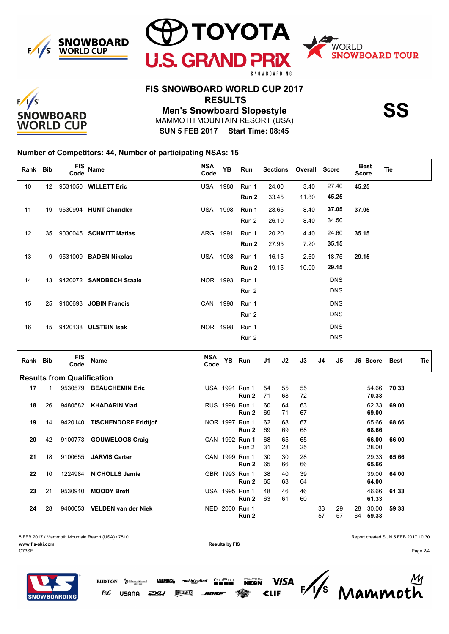





# **FIS SNOWBOARD WORLD CUP 2017**

**U.S. GRAN** 

 **RESULTS**

MAMMOTH MOUNTAIN RESORT (USA) **Men's Snowboard Slopestyle SS**

**SUN 5 FEB 2017 Start Time: 08:45**

### **Number of Competitors: 44, Number of participating NSAs: 15**

| Rank Bib |              | FIS<br>Code                       | <b>Name</b>                  | <b>NSA</b><br>Code | <b>YB</b> | Run                     | <b>Sections</b>      |          | Overall Score | <b>Best</b><br><b>Score</b> |                | <b>Tie</b>    |     |
|----------|--------------|-----------------------------------|------------------------------|--------------------|-----------|-------------------------|----------------------|----------|---------------|-----------------------------|----------------|---------------|-----|
| $10\,$   |              |                                   | 12 9531050 WILLETT Eric      | <b>USA 1988</b>    |           | Run 1                   | 24.00                | 3.40     | 27.40         | 45.25                       |                |               |     |
|          |              |                                   |                              |                    |           | Run 2                   | 33.45                | 11.80    | 45.25         |                             |                |               |     |
| 11       | 19           |                                   | 9530994 HUNT Chandler        | <b>USA 1998</b>    |           | Run 1                   | 28.65                | 8.40     | 37.05         | 37.05                       |                |               |     |
|          |              |                                   |                              |                    |           | Run 2                   | 26.10                | 8.40     | 34.50         |                             |                |               |     |
| 12       | 35           |                                   | 9030045 SCHMITT Matias       | ARG 1991           |           | Run 1                   | 20.20                | 4.40     | 24.60         | 35.15                       |                |               |     |
|          |              |                                   |                              |                    |           | Run 2                   | 27.95                | 7.20     | 35.15         |                             |                |               |     |
| 13       |              |                                   | 9 9531009 BADEN Nikolas      | <b>USA 1998</b>    |           | Run 1                   | 16.15                | 2.60     | 18.75         | 29.15                       |                |               |     |
|          |              |                                   |                              |                    |           | Run 2                   | 19.15                | 10.00    | 29.15         |                             |                |               |     |
| 14       |              |                                   | 13 9420072 SANDBECH Staale   | NOR 1993           |           | Run 1                   |                      |          | <b>DNS</b>    |                             |                |               |     |
|          |              |                                   |                              |                    |           | Run 2                   |                      |          | <b>DNS</b>    |                             |                |               |     |
| 15       | 25           |                                   | 9100693 JOBIN Francis        | CAN 1998           |           | Run 1                   |                      |          | <b>DNS</b>    |                             |                |               |     |
|          |              |                                   |                              |                    |           | Run 2                   |                      |          | <b>DNS</b>    |                             |                |               |     |
| 16       |              |                                   | 15 9420138 ULSTEIN Isak      | NOR 1998           |           | Run 1                   |                      |          | <b>DNS</b>    |                             |                |               |     |
|          |              |                                   |                              |                    |           | Run 2                   |                      |          | <b>DNS</b>    |                             |                |               |     |
| Rank Bib |              | <b>FIS</b>                        | Name                         | NSA                |           | YB Run                  | J2<br>J1             | J3       | J4            | J5                          |                | J6 Score Best | Tie |
|          |              | Code                              |                              | Code               |           |                         |                      |          |               |                             |                |               |     |
|          |              | <b>Results from Qualification</b> |                              |                    |           |                         |                      |          |               |                             |                |               |     |
| 17       | $\mathbf{1}$ |                                   | 9530579 BEAUCHEMIN Eric      |                    |           | USA 1991 Run 1<br>Run 2 | 55<br>54<br>71<br>68 | 55<br>72 |               |                             | 70.33          | 54.66 70.33   |     |
| 18       | 26           |                                   | 9480582 KHADARIN Vlad        |                    |           | RUS 1998 Run 1          | 64<br>60             | 63       |               |                             | 62.33          | 69.00         |     |
|          |              |                                   |                              |                    |           | Run 2                   | 71<br>69             | 67       |               |                             | 69.00          |               |     |
| 19       | 14           |                                   | 9420140 TISCHENDORF Fridtjof |                    |           | NOR 1997 Run 1<br>Run 2 | 62<br>68<br>69<br>69 | 67<br>68 |               |                             | 65.66<br>68.66 | 68.66         |     |
| 20       | 42           |                                   | 9100773 GOUWELOOS Craig      |                    |           | CAN 1992 Run 1          | 68<br>65             | 65       |               |                             | 66.00          | 66.00         |     |
|          |              |                                   |                              |                    |           | Run 2                   | 28<br>31             | 25       |               |                             | 28.00          |               |     |
| 21       | 18           |                                   | 9100655 JARVIS Carter        |                    |           | CAN 1999 Run 1<br>Run 2 | 30<br>30<br>65<br>66 | 28<br>66 |               |                             | 29.33<br>65.66 | 65.66         |     |
| 22       | 10           | 1224984                           | <b>NICHOLLS Jamie</b>        |                    |           | GBR 1993 Run 1          | 40<br>38             | 39       |               |                             | 39.00          | 64.00         |     |
|          |              |                                   |                              |                    |           | Run 2                   | 65<br>63<br>46       | 64       |               |                             | 64.00          |               |     |
| 23       | 21           | 9530910                           | <b>MOODY Brett</b>           |                    |           | USA 1995 Run 1<br>Run 2 | 48<br>63<br>61       | 46<br>60 |               |                             | 46.66<br>61.33 | 61.33         |     |
| 24       | 28           |                                   | 9400053 VELDEN van der Niek  |                    |           | NED 2000 Run 1<br>Run 2 |                      |          | 33<br>57      | 29<br>28<br>57<br>64        | 30.00<br>59.33 | 59.33         |     |

5 FEB 2017 / Mammoth Mountain Resort (USA) / 7510 Report created SUN 5 FEB 2017 10:30 **www.fis-ski.com Results by FIS** 

P&G

**BURTON S** Liberty Mutual

USANA

**LAGUNTAS** 

ZXU

rockin'r

**CLEREAKERS** 

C73SF Page 2/4

**Sepre** 

805E

**VISA** 

 $\frac{1}{s}$ 

Mammoth

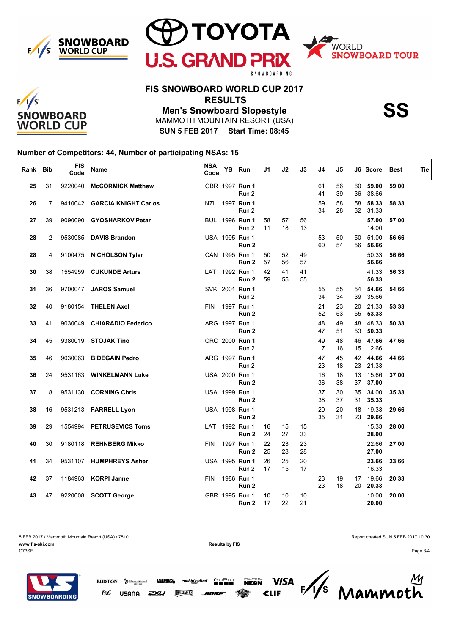





### **FIS SNOWBOARD WORLD CUP 2017**

**U.S. GRAN** 

 **RESULTS**

**Men's Snowboard Slopestyle SS**

MAMMOTH MOUNTAIN RESORT (USA)

**SUN 5 FEB 2017 Start Time: 08:45**

### **Number of Competitors: 44, Number of participating NSAs: 15**

| Rank Bib |                | <b>FIS</b><br>Code | <b>Name</b>                  | <b>NSA</b><br>Code | YB Run                                | J1       | J2       | J3       | J4                   | J5       |          | J6 Score          | Best  | Tie |
|----------|----------------|--------------------|------------------------------|--------------------|---------------------------------------|----------|----------|----------|----------------------|----------|----------|-------------------|-------|-----|
| 25       | 31             | 9220040            | <b>McCORMICK Matthew</b>     |                    | GBR 1997 Run 1<br>Run 2               |          |          |          | 61<br>41             | 56<br>39 | 60<br>36 | 59.00<br>38.66    | 59.00 |     |
| 26       | $\overline{7}$ |                    | 9410042 GARCIA KNIGHT Carlos |                    | NZL 1997 Run 1<br>Run 2               |          |          |          | 59<br>34             | 58<br>28 | 58       | 58.33<br>32 31.33 | 58.33 |     |
| 27       | 39             |                    | 9090090 GYOSHARKOV Petar     |                    | <b>BUL</b> 1996 <b>Run 1</b><br>Run 2 | 58<br>11 | 57<br>18 | 56<br>13 |                      |          |          | 57.00<br>14.00    | 57.00 |     |
| 28       | $\overline{2}$ |                    | 9530985 DAVIS Brandon        |                    | USA 1995 Run 1<br>Run 2               |          |          |          | 53<br>60             | 50<br>54 | 50<br>56 | 51.00<br>56.66    | 56.66 |     |
| 28       | 4              |                    | 9100475 NICHOLSON Tyler      |                    | CAN 1995 Run 1<br>Run <sub>2</sub>    | 50<br>57 | 52<br>56 | 49<br>57 |                      |          |          | 50.33<br>56.66    | 56.66 |     |
| 30       | 38             |                    | 1554959 CUKUNDE Arturs       |                    | LAT 1992 Run 1<br>Run <sub>2</sub>    | 42<br>59 | 41<br>55 | 41<br>55 |                      |          |          | 41.33<br>56.33    | 56.33 |     |
| 31       | 36             |                    | 9700047 JAROS Samuel         |                    | SVK 2001 Run 1<br>Run 2               |          |          |          | 55<br>34             | 55<br>34 | 54<br>39 | 54.66<br>35.66    | 54.66 |     |
| 32       | 40             |                    | 9180154 THELEN Axel          | <b>FIN</b>         | 1997 Run 1<br>Run <sub>2</sub>        |          |          |          | 21<br>52             | 23<br>53 | 20<br>55 | 21.33<br>53.33    | 53.33 |     |
| 33       | 41             |                    | 9030049 CHIARADIO Federico   |                    | ARG 1997 Run 1<br>Run <sub>2</sub>    |          |          |          | 48<br>47             | 49<br>51 | 48<br>53 | 48.33<br>50.33    | 50.33 |     |
| 34       | 45             |                    | 9380019 STOJAK Tino          |                    | CRO 2000 Run 1<br>Run 2               |          |          |          | 49<br>$\overline{7}$ | 48<br>16 | 46<br>15 | 47.66<br>12.66    | 47.66 |     |
| 35       | 46             |                    | 9030063 BIDEGAIN Pedro       |                    | ARG 1997 Run 1<br>Run 2               |          |          |          | 47<br>23             | 45<br>18 | 42       | 44.66<br>23 21.33 | 44.66 |     |
| 36       | 24             |                    | 9531163 WINKELMANN Luke      |                    | USA 2000 Run 1<br>Run 2               |          |          |          | 16<br>36             | 18<br>38 | 13<br>37 | 15.66<br>37.00    | 37.00 |     |
| 37       | 8              |                    | 9531130 CORNING Chris        |                    | USA 1999 Run 1<br>Run 2               |          |          |          | 37<br>38             | 30<br>37 | 35<br>31 | 34.00<br>35.33    | 35.33 |     |
| 38       | 16             |                    | 9531213 FARRELL Lyon         |                    | USA 1998 Run 1<br>Run 2               |          |          |          | 20<br>35             | 20<br>31 | 18<br>23 | 19.33<br>29.66    | 29.66 |     |
| 39       | 29             |                    | 1554994 PETRUSEVICS Toms     |                    | LAT 1992 Run 1<br>Run <sub>2</sub>    | 16<br>24 | 15<br>27 | 15<br>33 |                      |          |          | 15.33<br>28.00    | 28.00 |     |
| 40       | 30             |                    | 9180118 REHNBERG Mikko       | <b>FIN</b>         | 1997 Run 1<br>Run <sub>2</sub>        | 22<br>25 | 23<br>28 | 23<br>28 |                      |          |          | 22.66<br>27.00    | 27.00 |     |
| 41       | 34             |                    | 9531107 HUMPHREYS Asher      |                    | USA 1995 Run 1<br>Run 2               | 26<br>17 | 25<br>15 | 20<br>17 |                      |          |          | 23.66<br>16.33    | 23.66 |     |
| 42       | 37             |                    | 1184963 KORPI Janne          | <b>FIN</b>         | 1986 Run 1<br>Run <sub>2</sub>        |          |          |          | 23<br>23             | 19<br>18 | 20       | 17 19.66<br>20.33 | 20.33 |     |
| 43       | 47             |                    | 9220008 SCOTT George         |                    | GBR 1995 Run 1<br>Run 2               | 10<br>17 | 10<br>22 | 10<br>21 |                      |          |          | 10.00<br>20.00    | 20.00 |     |

5 FEB 2017 / Mammoth Mountain Resort (USA) / 7510 Report created SUN 5 FEB 2017 10:30

C73SF Page 3/4

**www.fis-ski.com Results by FIS**